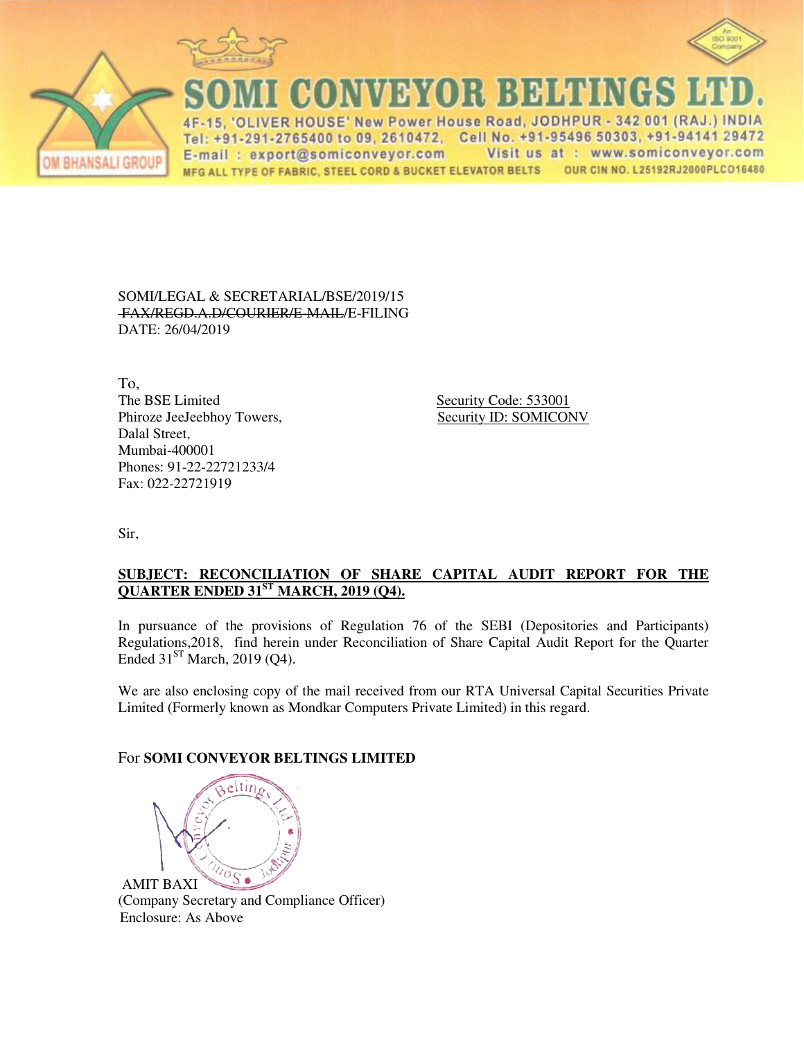





**CONVEYOR BELTINGS** 

IVER HOUSE' New Power House Road, JODHPUR - 342 001 (RAJ.) INDIA  $\Delta F$ Tel: +91-291-2765400 to 09, 2610472, Cell No. +91-95496 50303, +91-94141 29472 Visit us at : www.somiconveyor.com E-mail: export@somiconveyor.com OUR CIN NO. L25192RJ2000PLCO16480 MFG ALL TYPE OF FABRIC, STEEL CORD & BUCKET ELEVATOR BELTS

SOMI/LEGAL & SECRETARIAL/BSE/2019/15 FAX/REGD.A.D/COURIER/E-MAIL/E-FILING DATE: 26/04/2019

To, The BSE Limited Security Code: 533001 Phiroze JeeJeebhoy Towers, Security ID: SOMICONV Dalal Street, Mumbai-400001 Phones: 91-22-22721233/4 Fax: 022-22721919

Sir,

## **SUBJECT: RECONCILIATION OF SHARE CAPITAL AUDIT REPORT FOR THE QUARTER ENDED 31ST MARCH, 2019 (Q4).**

In pursuance of the provisions of Regulation 76 of the SEBI (Depositories and Participants) Regulations,2018, find herein under Reconciliation of Share Capital Audit Report for the Quarter Ended  $31<sup>ST</sup>$  March, 2019 (Q4).

We are also enclosing copy of the mail received from our RTA Universal Capital Securities Private Limited (Formerly known as Mondkar Computers Private Limited) in this regard.

## For **SOMI CONVEYOR BELTINGS LIMITED**



AMIT BAXI (Company Secretary and Compliance Officer) Enclosure: As Above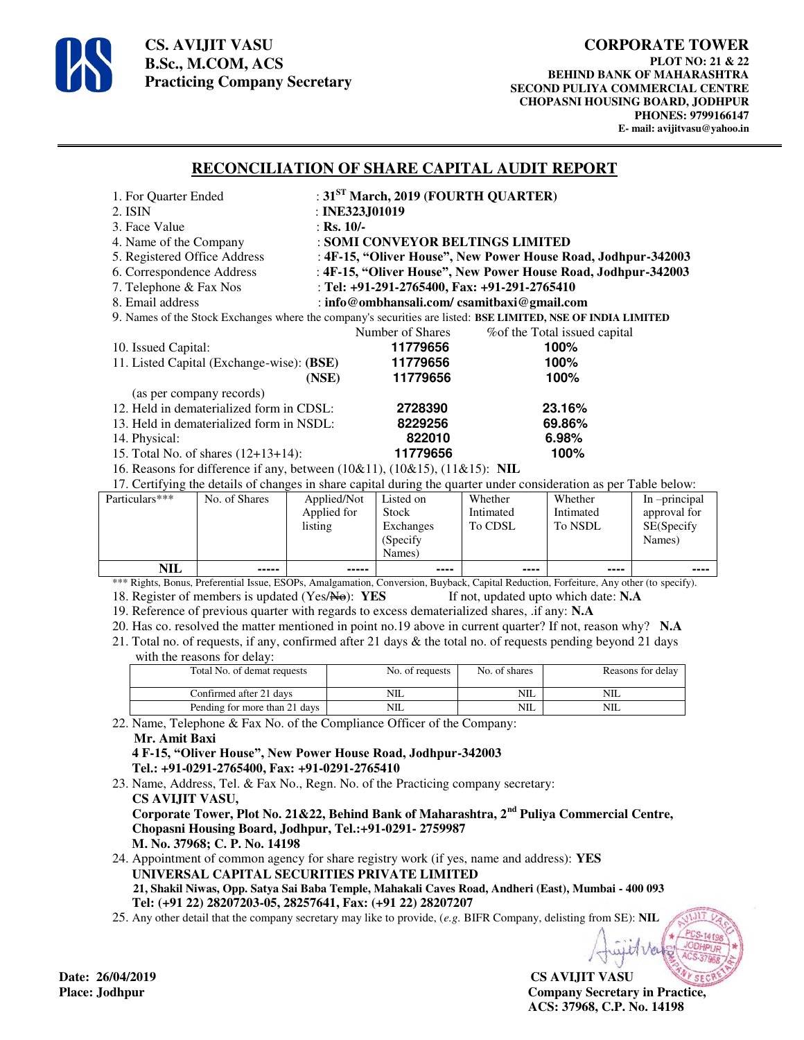

**CS. AVIJIT VASU B.Sc., M.COM, ACS Practicing Company Secretary** 

## **RECONCILIATION OF SHARE CAPITAL AUDIT REPORT**

| 1. For Quarter Ended                                                                                              |                                                               | : $31ST March$ , 2019 (FOURTH QUARTER) |                                         |  |  |
|-------------------------------------------------------------------------------------------------------------------|---------------------------------------------------------------|----------------------------------------|-----------------------------------------|--|--|
| 2. ISIN                                                                                                           |                                                               | : INE323J01019                         |                                         |  |  |
| 3. Face Value                                                                                                     | : Rs. $10/-$                                                  |                                        |                                         |  |  |
| 4. Name of the Company                                                                                            | : SOMI CONVEYOR BELTINGS LIMITED                              |                                        |                                         |  |  |
| 5. Registered Office Address                                                                                      | : 4F-15, "Oliver House", New Power House Road, Jodhpur-342003 |                                        |                                         |  |  |
| 6. Correspondence Address                                                                                         | : 4F-15, "Oliver House", New Power House Road, Jodhpur-342003 |                                        |                                         |  |  |
| 7. Telephone & Fax Nos                                                                                            | : Tel: +91-291-2765400, Fax: +91-291-2765410                  |                                        |                                         |  |  |
| 8. Email address                                                                                                  | : info@ombhansali.com/csamitbaxi@gmail.com                    |                                        |                                         |  |  |
| 9. Names of the Stock Exchanges where the company's securities are listed: BSE LIMITED, NSE OF INDIA LIMITED      |                                                               |                                        |                                         |  |  |
|                                                                                                                   |                                                               | Number of Shares                       | % % % % % % of the Total issued capital |  |  |
| 10. Issued Capital:                                                                                               |                                                               | 11779656                               | 100%                                    |  |  |
| 11. Listed Capital (Exchange-wise): (BSE)                                                                         |                                                               | 11779656                               | 100%                                    |  |  |
|                                                                                                                   | (NSE)                                                         | 11779656                               | 100%                                    |  |  |
| (as per company records)                                                                                          |                                                               |                                        |                                         |  |  |
| 12. Held in dematerialized form in CDSL:                                                                          |                                                               | 2728390                                | 23.16%                                  |  |  |
| 13. Held in dematerialized form in NSDL:                                                                          |                                                               | 8229256                                | 69.86%                                  |  |  |
| 14. Physical:                                                                                                     |                                                               | 822010                                 | 6.98%                                   |  |  |
| 15. Total No. of shares (12+13+14):                                                                               |                                                               | 11779656                               | 100%                                    |  |  |
| 16. Reasons for difference if any, between (10&11), (10&15), (11&15): NIL                                         |                                                               |                                        |                                         |  |  |
| 17. Certifying the details of changes in share capital during the quarter under consideration as per Table below: |                                                               |                                        |                                         |  |  |

| Particulars*** | No. of Shares | Applied/Not<br>Applied for | Listed on<br><b>Stock</b> | Whether<br>Intimated | Whether<br>Intimated | In -principal              |
|----------------|---------------|----------------------------|---------------------------|----------------------|----------------------|----------------------------|
|                |               | listing                    | Exchanges                 | To CDSL              | To NSDL              | approval for<br>SE(Specify |
|                |               |                            | (Specify)                 |                      |                      | Names)                     |
|                |               |                            | Names)                    |                      |                      |                            |
| NIL            | -----         | -----                      | ----                      | ----                 | ----                 | ----                       |

\*\*\* Rights, Bonus, Preferential Issue, ESOPs, Amalgamation, Conversion, Buyback, Capital Reduction, Forfeiture, Any other (to specify). 18. Register of members is updated (Yes/No): **YES** If not, updated upto which date: **N.A** 

19. Reference of previous quarter with regards to excess dematerialized shares, .if any: **N.A**

20. Has co. resolved the matter mentioned in point no.19 above in current quarter? If not, reason why? **N.A**

- 21. Total no. of requests, if any, confirmed after 21 days & the total no. of requests pending beyond 21 days
	- with the reasons for delay:

| Total No. of demat requests   | No. of requests | No. of shares | Reasons for delay |  |  |
|-------------------------------|-----------------|---------------|-------------------|--|--|
| Confirmed after 21 days       | NIL             | NIL           | NIL               |  |  |
| Pending for more than 21 days | NШ              | NIL.          | NIL               |  |  |

22. Name, Telephone & Fax No. of the Compliance Officer of the Company: **Mr. Amit Baxi 4 F-15, "Oliver House", New Power House Road, Jodhpur-342003** 

 **Tel.: +91-0291-2765400, Fax: +91-0291-2765410** 

23. Name, Address, Tel. & Fax No., Regn. No. of the Practicing company secretary:  **CS AVIJIT VASU, Corporate Tower, Plot No. 21&22, Behind Bank of Maharashtra, 2nd Puliya Commercial Centre,** 

 **Chopasni Housing Board, Jodhpur, Tel.:+91-0291- 2759987 M. No. 37968; C. P. No. 14198** 

24. Appointment of common agency for share registry work (if yes, name and address): **YES UNIVERSAL CAPITAL SECURITIES PRIVATE LIMITED 21, Shakil Niwas, Opp. Satya Sai Baba Temple, Mahakali Caves Road, Andheri (East), Mumbai - 400 093 Tel: (+91 22) 28207203-05, 28257641, Fax: (+91 22) 28207207**

25. Any other detail that the company secretary may like to provide, (*e.g.* BIFR Company, delisting from SE): **NIL**

**CS AVIJIT VASU Place: Jodhpur Company Secretary in Practice, ACS: 37968, C.P. No. 14198** 

Date: 26/04/2019